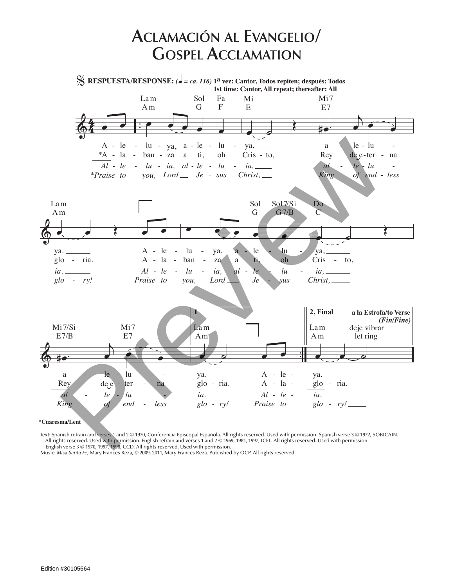

**\*Cuaresma/Lent**

Text: Spanish refrain and verses 1 and 2 © 1970, Conferencia Episcopal Española. All rights reserved. Used with permission. Spanish verse 3 © 1972, SOBICAIN. All rights reserved. Used with permission. English refrain and verses 1 and 2 © 1969, 1981, 1997, ICEL. All rights reserved. Used with permission.

English verse 3 © 1970, 1997, 1998, CCD. All rights reserved. Used with permission.